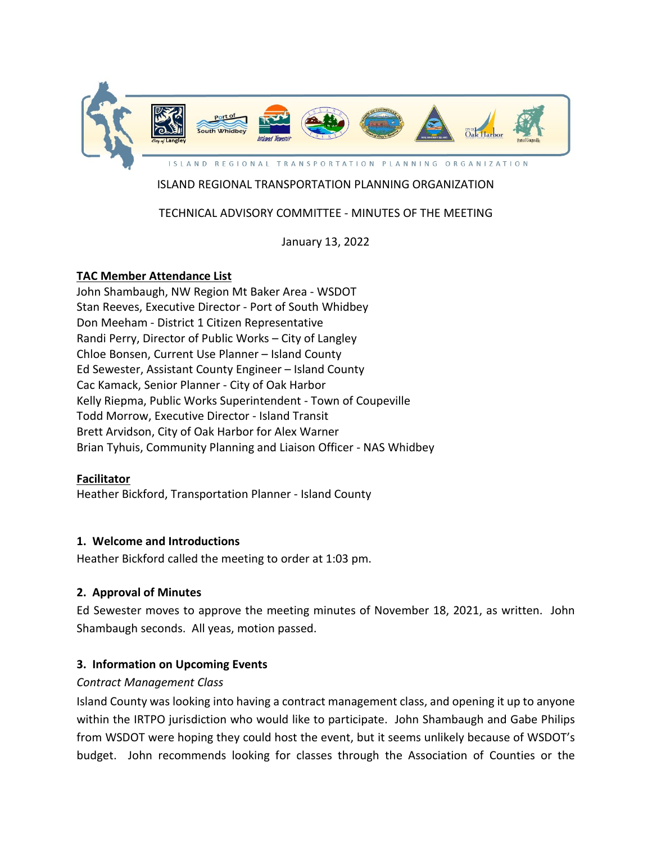

# ISLAND REGIONAL TRANSPORTATION PLANNING ORGANIZATION

# TECHNICAL ADVISORY COMMITTEE - MINUTES OF THE MEETING

January 13, 2022

### **TAC Member Attendance List**

John Shambaugh, NW Region Mt Baker Area - WSDOT Stan Reeves, Executive Director - Port of South Whidbey Don Meeham - District 1 Citizen Representative Randi Perry, Director of Public Works – City of Langley Chloe Bonsen, Current Use Planner – Island County Ed Sewester, Assistant County Engineer – Island County Cac Kamack, Senior Planner - City of Oak Harbor Kelly Riepma, Public Works Superintendent - Town of Coupeville Todd Morrow, Executive Director - Island Transit Brett Arvidson, City of Oak Harbor for Alex Warner Brian Tyhuis, Community Planning and Liaison Officer - NAS Whidbey

#### **Facilitator**

Heather Bickford, Transportation Planner - Island County

#### **1. Welcome and Introductions**

Heather Bickford called the meeting to order at 1:03 pm.

#### **2. Approval of Minutes**

Ed Sewester moves to approve the meeting minutes of November 18, 2021, as written. John Shambaugh seconds. All yeas, motion passed.

### **3. Information on Upcoming Events**

#### *Contract Management Class*

Island County was looking into having a contract management class, and opening it up to anyone within the IRTPO jurisdiction who would like to participate. John Shambaugh and Gabe Philips from WSDOT were hoping they could host the event, but it seems unlikely because of WSDOT's budget. John recommends looking for classes through the Association of Counties or the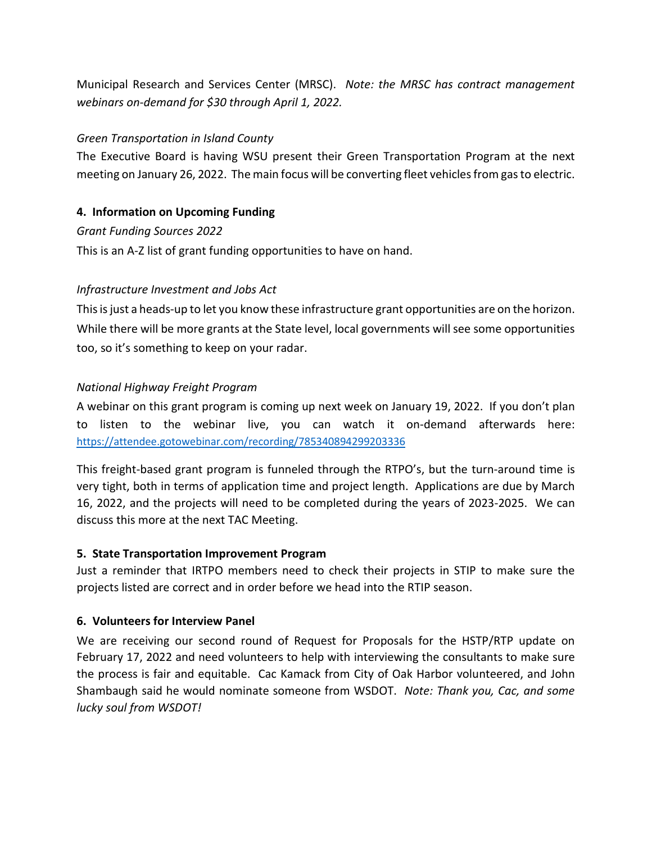Municipal Research and Services Center (MRSC). *Note: the MRSC has contract management webinars on-demand for \$30 through April 1, 2022.*

### *Green Transportation in Island County*

The Executive Board is having WSU present their Green Transportation Program at the next meeting on January 26, 2022. The main focus will be converting fleet vehicles from gas to electric.

# **4. Information on Upcoming Funding**

*Grant Funding Sources 2022* This is an A-Z list of grant funding opportunities to have on hand.

# *Infrastructure Investment and Jobs Act*

This is just a heads-up to let you know these infrastructure grant opportunities are on the horizon. While there will be more grants at the State level, local governments will see some opportunities too, so it's something to keep on your radar.

# *National Highway Freight Program*

A webinar on this grant program is coming up next week on January 19, 2022. If you don't plan to listen to the webinar live, you can watch it on-demand afterwards here: <https://attendee.gotowebinar.com/recording/785340894299203336>

This freight-based grant program is funneled through the RTPO's, but the turn-around time is very tight, both in terms of application time and project length. Applications are due by March 16, 2022, and the projects will need to be completed during the years of 2023-2025. We can discuss this more at the next TAC Meeting.

# **5. State Transportation Improvement Program**

Just a reminder that IRTPO members need to check their projects in STIP to make sure the projects listed are correct and in order before we head into the RTIP season.

# **6. Volunteers for Interview Panel**

We are receiving our second round of Request for Proposals for the HSTP/RTP update on February 17, 2022 and need volunteers to help with interviewing the consultants to make sure the process is fair and equitable. Cac Kamack from City of Oak Harbor volunteered, and John Shambaugh said he would nominate someone from WSDOT. *Note: Thank you, Cac, and some lucky soul from WSDOT!*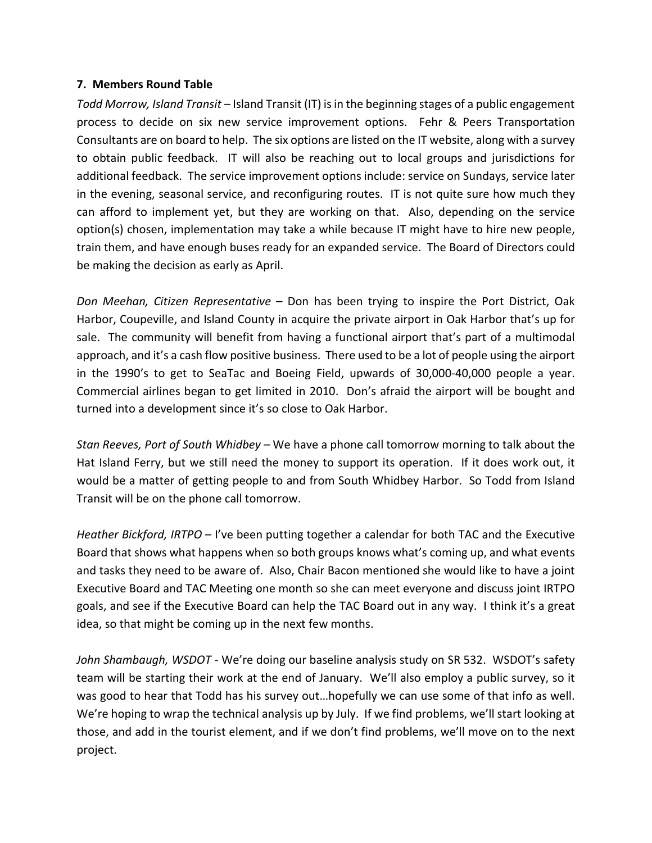#### **7. Members Round Table**

*Todd Morrow, Island Transit –* Island Transit (IT) is in the beginning stages of a public engagement process to decide on six new service improvement options. Fehr & Peers Transportation Consultants are on board to help. The six options are listed on the IT website, along with a survey to obtain public feedback. IT will also be reaching out to local groups and jurisdictions for additional feedback. The service improvement options include: service on Sundays, service later in the evening, seasonal service, and reconfiguring routes. IT is not quite sure how much they can afford to implement yet, but they are working on that. Also, depending on the service option(s) chosen, implementation may take a while because IT might have to hire new people, train them, and have enough buses ready for an expanded service. The Board of Directors could be making the decision as early as April.

*Don Meehan, Citizen Representative* – Don has been trying to inspire the Port District, Oak Harbor, Coupeville, and Island County in acquire the private airport in Oak Harbor that's up for sale. The community will benefit from having a functional airport that's part of a multimodal approach, and it's a cash flow positive business. There used to be a lot of people using the airport in the 1990's to get to SeaTac and Boeing Field, upwards of 30,000-40,000 people a year. Commercial airlines began to get limited in 2010. Don's afraid the airport will be bought and turned into a development since it's so close to Oak Harbor.

*Stan Reeves, Port of South Whidbey –* We have a phone call tomorrow morning to talk about the Hat Island Ferry, but we still need the money to support its operation. If it does work out, it would be a matter of getting people to and from South Whidbey Harbor. So Todd from Island Transit will be on the phone call tomorrow.

*Heather Bickford, IRTPO* – I've been putting together a calendar for both TAC and the Executive Board that shows what happens when so both groups knows what's coming up, and what events and tasks they need to be aware of. Also, Chair Bacon mentioned she would like to have a joint Executive Board and TAC Meeting one month so she can meet everyone and discuss joint IRTPO goals, and see if the Executive Board can help the TAC Board out in any way. I think it's a great idea, so that might be coming up in the next few months.

*John Shambaugh, WSDOT* - We're doing our baseline analysis study on SR 532. WSDOT's safety team will be starting their work at the end of January. We'll also employ a public survey, so it was good to hear that Todd has his survey out…hopefully we can use some of that info as well. We're hoping to wrap the technical analysis up by July. If we find problems, we'll start looking at those, and add in the tourist element, and if we don't find problems, we'll move on to the next project.